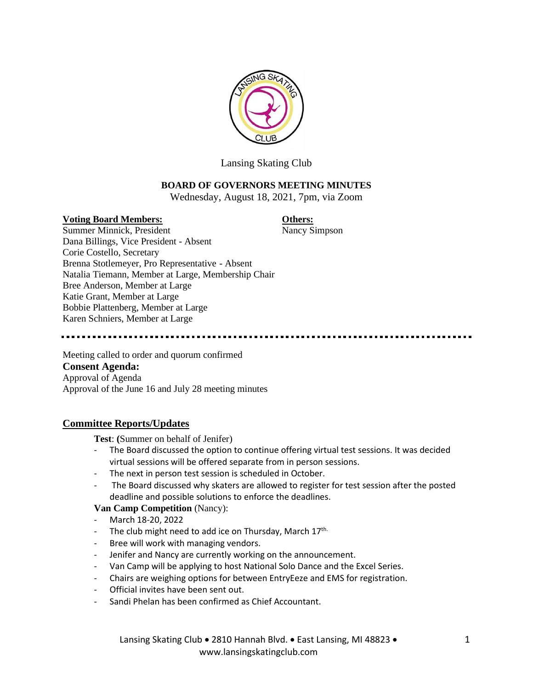

Lansing Skating Club

# **BOARD OF GOVERNORS MEETING MINUTES**

Wednesday, August 18, 2021, 7pm, via Zoom

# **Voting Board Members: Others:**

Summer Minnick, President Nancy Simpson Dana Billings, Vice President - Absent Corie Costello, Secretary Brenna Stotlemeyer, Pro Representative - Absent Natalia Tiemann, Member at Large, Membership Chair Bree Anderson, Member at Large Katie Grant, Member at Large Bobbie Plattenberg, Member at Large Karen Schniers, Member at Large

Meeting called to order and quorum confirmed **Consent Agenda:** Approval of Agenda Approval of the June 16 and July 28 meeting minutes

# **Committee Reports/Updates**

**Test**: **(**Summer on behalf of Jenifer)

- The Board discussed the option to continue offering virtual test sessions. It was decided virtual sessions will be offered separate from in person sessions.
- The next in person test session is scheduled in October.
- The Board discussed why skaters are allowed to register for test session after the posted deadline and possible solutions to enforce the deadlines.

# **Van Camp Competition** (Nancy):

- March 18-20, 2022
- The club might need to add ice on Thursday, March 17<sup>th.</sup>
- Bree will work with managing vendors.
- Jenifer and Nancy are currently working on the announcement.
- Van Camp will be applying to host National Solo Dance and the Excel Series.
- Chairs are weighing options for between EntryEeze and EMS for registration.
- Official invites have been sent out.
- Sandi Phelan has been confirmed as Chief Accountant.